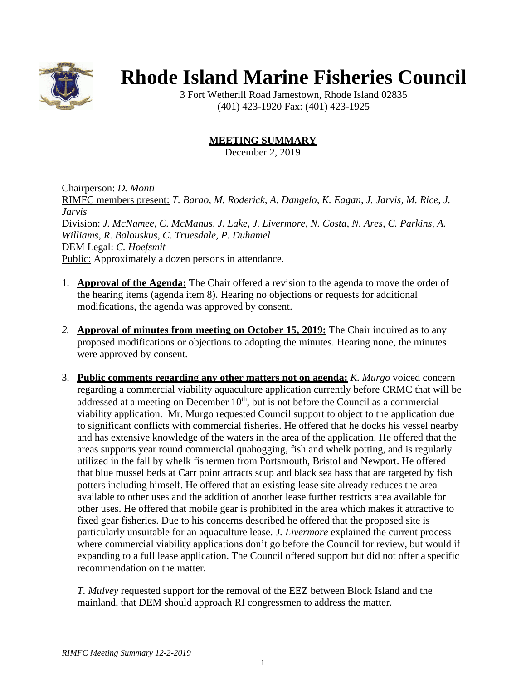

## **Rhode Island Marine Fisheries Council**

3 Fort Wetherill Road Jamestown, Rhode Island 02835 (401) 423-1920 Fax: (401) 423-1925

## **MEETING SUMMARY**

December 2, 2019

Chairperson: *D. Monti* RIMFC members present: *T. Barao, M. Roderick, A. Dangelo, K. Eagan, J. Jarvis, M. Rice, J. Jarvis* Division: *J. McNamee, C. McManus, J. Lake, J. Livermore, N. Costa, N. Ares, C. Parkins, A. Williams, R. Balouskus, C. Truesdale, P. Duhamel* DEM Legal: *C. Hoefsmit* Public: Approximately a dozen persons in attendance.

- 1. **Approval of the Agenda:** The Chair offered a revision to the agenda to move the order of the hearing items (agenda item 8). Hearing no objections or requests for additional modifications, the agenda was approved by consent.
- *2.* **Approval of minutes from meeting on October 15, 2019:** The Chair inquired as to any proposed modifications or objections to adopting the minutes. Hearing none, the minutes were approved by consent*.*
- 3. **Public comments regarding any other matters not on agenda:** *K. Murgo* voiced concern regarding a commercial viability aquaculture application currently before CRMC that will be addressed at a meeting on December  $10<sup>th</sup>$ , but is not before the Council as a commercial viability application. Mr. Murgo requested Council support to object to the application due to significant conflicts with commercial fisheries. He offered that he docks his vessel nearby and has extensive knowledge of the waters in the area of the application. He offered that the areas supports year round commercial quahogging, fish and whelk potting, and is regularly utilized in the fall by whelk fishermen from Portsmouth, Bristol and Newport. He offered that blue mussel beds at Carr point attracts scup and black sea bass that are targeted by fish potters including himself. He offered that an existing lease site already reduces the area available to other uses and the addition of another lease further restricts area available for other uses. He offered that mobile gear is prohibited in the area which makes it attractive to fixed gear fisheries. Due to his concerns described he offered that the proposed site is particularly unsuitable for an aquaculture lease. *J. Livermore* explained the current process where commercial viability applications don't go before the Council for review, but would if expanding to a full lease application. The Council offered support but did not offer a specific recommendation on the matter.

*T. Mulvey* requested support for the removal of the EEZ between Block Island and the mainland, that DEM should approach RI congressmen to address the matter.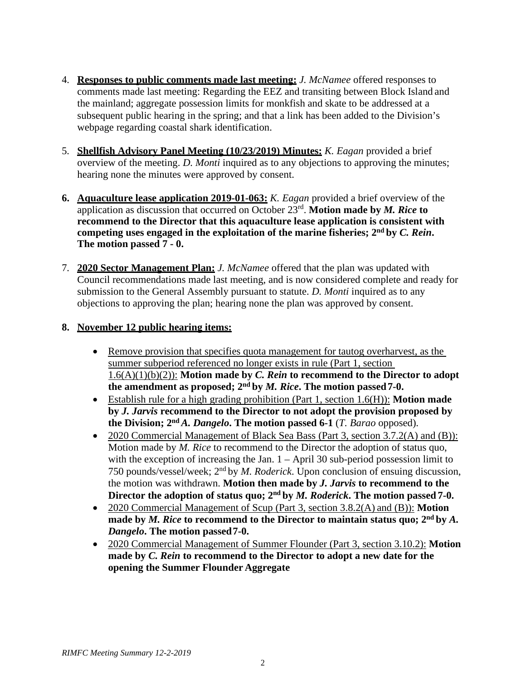- 4. **Responses to public comments made last meeting:** *J. McNamee* offered responses to comments made last meeting: Regarding the EEZ and transiting between Block Island and the mainland; aggregate possession limits for monkfish and skate to be addressed at a subsequent public hearing in the spring; and that a link has been added to the Division's webpage regarding coastal shark identification.
- 5. **Shellfish Advisory Panel Meeting (10/23/2019) Minutes:** *K. Eagan* provided a brief overview of the meeting. *D. Monti* inquired as to any objections to approving the minutes; hearing none the minutes were approved by consent.
- **6. Aquaculture lease application 2019-01-063:** *K. Eagan* provided a brief overview of the application as discussion that occurred on October 23rd. **Motion made by** *M. Rice* **to recommend to the Director that this aquaculture lease application is consistent with competing uses engaged in the exploitation of the marine fisheries; 2nd by** *C. Rein***. The motion passed 7 - 0.**
- 7. **2020 Sector Management Plan:** *J. McNamee* offered that the plan was updated with Council recommendations made last meeting, and is now considered complete and ready for submission to the General Assembly pursuant to statute. *D. Monti* inquired as to any objections to approving the plan; hearing none the plan was approved by consent.

## **8. November 12 public hearing items:**

- Remove provision that specifies quota management for tautog overharvest, as the summer subperiod referenced no longer exists in rule (Part 1, section 1.6(A)(1)(b)(2)): **Motion made by** *C. Rein* **to recommend to the Director to adopt the amendment as proposed; 2nd by** *M. Rice***. The motion passed7-0.**
- Establish rule for a high grading prohibition (Part 1, section 1.6(H)): **Motion made by** *J. Jarvis* **recommend to the Director to not adopt the provision proposed by the Division; 2nd** *A. Dangelo***. The motion passed 6-1** (*T. Barao* opposed).
- 2020 Commercial Management of Black Sea Bass (Part 3, section 3.7.2(A) and (B)): Motion made by *M. Rice* to recommend to the Director the adoption of status quo, with the exception of increasing the Jan. 1 – April 30 sub-period possession limit to 750 pounds/vessel/week; 2nd by *M. Roderick*. Upon conclusion of ensuing discussion, the motion was withdrawn. **Motion then made by** *J. Jarvis* **to recommend to the Director the adoption of status quo; 2nd by** *M. Roderick***. The motion passed 7-0.**
- 2020 Commercial Management of Scup (Part 3, section 3.8.2(A) and (B)): **Motion made by** *M. Rice* **to recommend to the Director to maintain status quo; 2nd by** *A. Dangelo***. The motion passed7-0.**
- 2020 Commercial Management of Summer Flounder (Part 3, section 3.10.2): **Motion made by** *C. Rein* **to recommend to the Director to adopt a new date for the opening the Summer Flounder Aggregate**